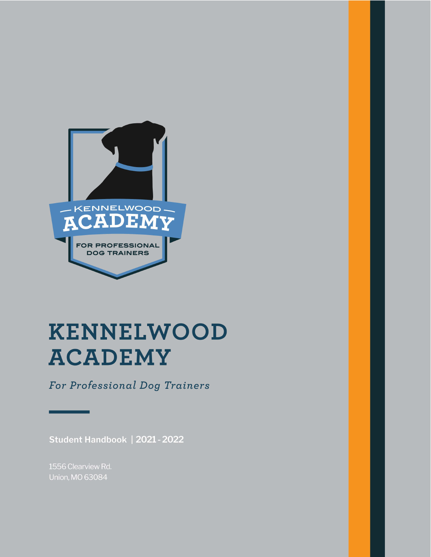

# KENNELWOOD **ACADEMY**

For Professional Dog Trainers

Student Handbook | 2021 - 2022

1556 Clearview Rd. Union, MO 63084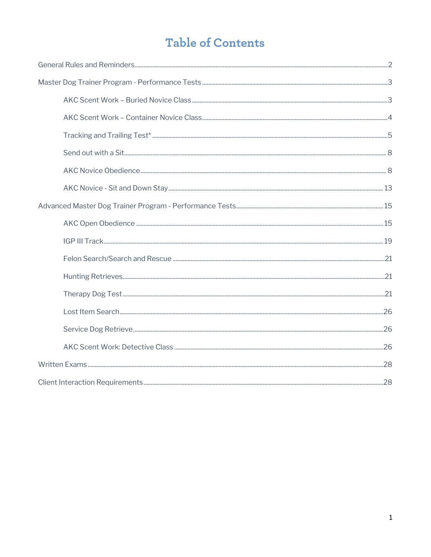# **Table of Contents**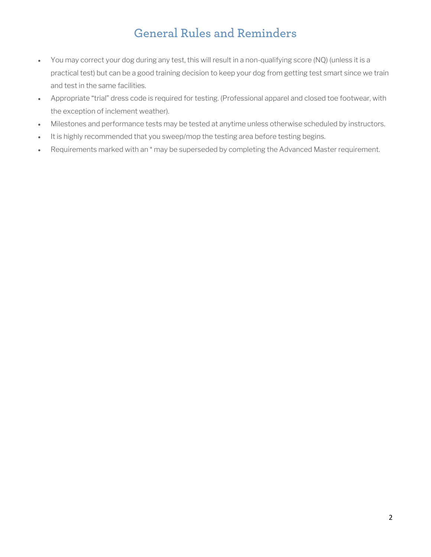# **General Rules and Reminders**

- You may correct your dog during any test, this will result in a non-qualifying score (NQ) (unless it is a practical test) but can be a good training decision to keep your dog from getting test smart since we train and test in the same facilities.
- Appropriate "trial" dress code is required for testing. (Professional apparel and closed toe footwear, with the exception of inclement weather).
- Milestones and performance tests may be tested at anytime unless otherwise scheduled by instructors.
- It is highly recommended that you sweep/mop the testing area before testing begins.
- Requirements marked with an \* may be superseded by completing the Advanced Master requirement.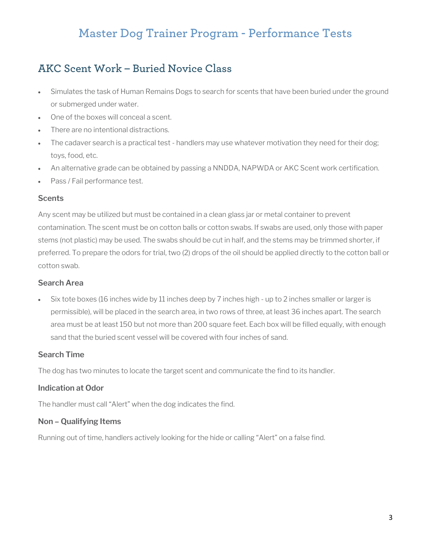# **Master Dog Trainer Program - Performance Tests**

### **AKC Scent Work – Buried Novice Class**

- Simulates the task of Human Remains Dogs to search for scents that have been buried under the ground or submerged under water.
- One of the boxes will conceal a scent.
- There are no intentional distractions.
- The cadaver search is a practical test handlers may use whatever motivation they need for their dog; toys, food, etc.
- An alternative grade can be obtained by passing a NNDDA, NAPWDA or AKC Scent work certification.
- Pass / Fail performance test.

#### **Scents**

Any scent may be utilized but must be contained in a clean glass jar or metal container to prevent contamination. The scent must be on cotton balls or cotton swabs. If swabs are used, only those with paper stems (not plastic) may be used. The swabs should be cut in half, and the stems may be trimmed shorter, if preferred. To prepare the odors for trial, two (2) drops of the oil should be applied directly to the cotton ball or cotton swab.

#### **Search Area**

• Six tote boxes (16 inches wide by 11 inches deep by 7 inches high - up to 2 inches smaller or larger is permissible), will be placed in the search area, in two rows of three, at least 36 inches apart. The search area must be at least 150 but not more than 200 square feet. Each box will be filled equally, with enough sand that the buried scent vessel will be covered with four inches of sand.

#### **Search Time**

The dog has two minutes to locate the target scent and communicate the find to its handler.

#### **Indication at Odor**

The handler must call "Alert" when the dog indicates the find.

#### **Non – Qualifying Items**

Running out of time, handlers actively looking for the hide or calling "Alert" on a false find.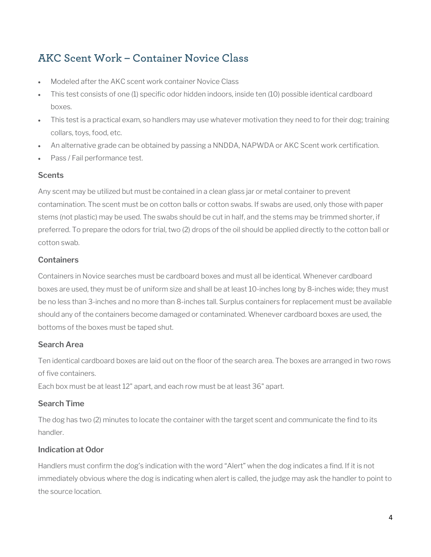### **AKC Scent Work – Container Novice Class**

- Modeled after the AKC scent work container Novice Class
- This test consists of one (1) specific odor hidden indoors, inside ten (10) possible identical cardboard boxes.
- This test is a practical exam, so handlers may use whatever motivation they need to for their dog; training collars, toys, food, etc.
- An alternative grade can be obtained by passing a NNDDA, NAPWDA or AKC Scent work certification.
- Pass / Fail performance test.

#### **Scents**

Any scent may be utilized but must be contained in a clean glass jar or metal container to prevent contamination. The scent must be on cotton balls or cotton swabs. If swabs are used, only those with paper stems (not plastic) may be used. The swabs should be cut in half, and the stems may be trimmed shorter, if preferred. To prepare the odors for trial, two (2) drops of the oil should be applied directly to the cotton ball or cotton swab.

#### **Containers**

Containers in Novice searches must be cardboard boxes and must all be identical. Whenever cardboard boxes are used, they must be of uniform size and shall be at least 10-inches long by 8-inches wide; they must be no less than 3-inches and no more than 8-inches tall. Surplus containers for replacement must be available should any of the containers become damaged or contaminated. Whenever cardboard boxes are used, the bottoms of the boxes must be taped shut.

#### **Search Area**

Ten identical cardboard boxes are laid out on the floor of the search area. The boxes are arranged in two rows of five containers.

Each box must be at least 12" apart, and each row must be at least 36" apart.

#### **Search Time**

The dog has two (2) minutes to locate the container with the target scent and communicate the find to its handler.

#### **Indication at Odor**

Handlers must confirm the dog's indication with the word "Alert" when the dog indicates a find. If it is not immediately obvious where the dog is indicating when alert is called, the judge may ask the handler to point to the source location.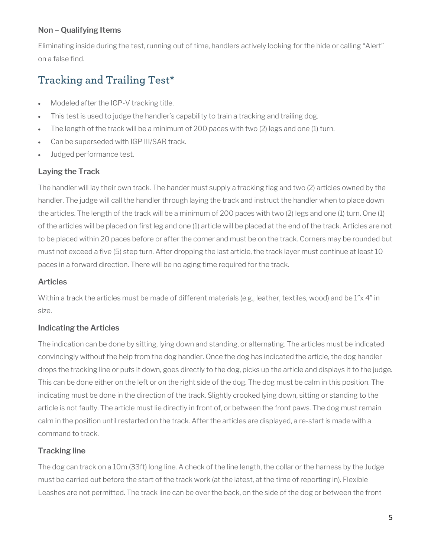#### **Non – Qualifying Items**

Eliminating inside during the test, running out of time, handlers actively looking for the hide or calling "Alert" on a false find.

# **Tracking and Trailing Test\***

- Modeled after the IGP-V tracking title.
- This test is used to judge the handler's capability to train a tracking and trailing dog.
- The length of the track will be a minimum of 200 paces with two (2) legs and one (1) turn.
- Can be superseded with IGP III/SAR track.
- Judged performance test.

#### **Laying the Track**

The handler will lay their own track. The hander must supply a tracking flag and two (2) articles owned by the handler. The judge will call the handler through laying the track and instruct the handler when to place down the articles. The length of the track will be a minimum of 200 paces with two (2) legs and one (1) turn. One (1) of the articles will be placed on first leg and one (1) article will be placed at the end of the track. Articles are not to be placed within 20 paces before or after the corner and must be on the track. Corners may be rounded but must not exceed a five (5) step turn. After dropping the last article, the track layer must continue at least 10 paces in a forward direction. There will be no aging time required for the track.

#### **Articles**

Within a track the articles must be made of different materials (e.g., leather, textiles, wood) and be 1"x 4" in size.

#### **Indicating the Articles**

The indication can be done by sitting, lying down and standing, or alternating. The articles must be indicated convincingly without the help from the dog handler. Once the dog has indicated the article, the dog handler drops the tracking line or puts it down, goes directly to the dog, picks up the article and displays it to the judge. This can be done either on the left or on the right side of the dog. The dog must be calm in this position. The indicating must be done in the direction of the track. Slightly crooked lying down, sitting or standing to the article is not faulty. The article must lie directly in front of, or between the front paws. The dog must remain calm in the position until restarted on the track. After the articles are displayed, a re-start is made with a command to track.

#### **Tracking line**

The dog can track on a 10m (33ft) long line. A check of the line length, the collar or the harness by the Judge must be carried out before the start of the track work (at the latest, at the time of reporting in). Flexible Leashes are not permitted. The track line can be over the back, on the side of the dog or between the front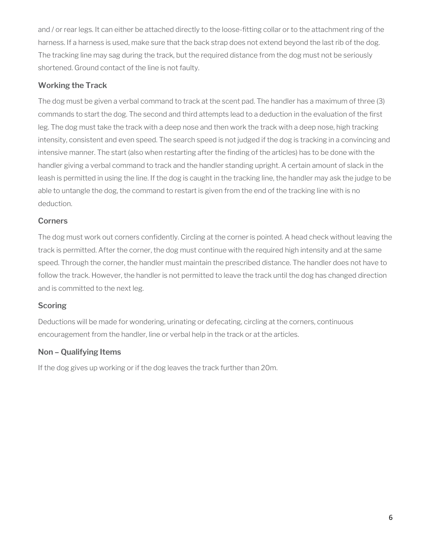and / or rear legs. It can either be attached directly to the loose-fitting collar or to the attachment ring of the harness. If a harness is used, make sure that the back strap does not extend beyond the last rib of the dog. The tracking line may sag during the track, but the required distance from the dog must not be seriously shortened. Ground contact of the line is not faulty.

#### **Working the Track**

The dog must be given a verbal command to track at the scent pad. The handler has a maximum of three (3) commands to start the dog. The second and third attempts lead to a deduction in the evaluation of the first leg. The dog must take the track with a deep nose and then work the track with a deep nose, high tracking intensity, consistent and even speed. The search speed is not judged if the dog is tracking in a convincing and intensive manner. The start (also when restarting after the finding of the articles) has to be done with the handler giving a verbal command to track and the handler standing upright. A certain amount of slack in the leash is permitted in using the line. If the dog is caught in the tracking line, the handler may ask the judge to be able to untangle the dog, the command to restart is given from the end of the tracking line with is no deduction.

#### **Corners**

The dog must work out corners confidently. Circling at the corner is pointed. A head check without leaving the track is permitted. After the corner, the dog must continue with the required high intensity and at the same speed. Through the corner, the handler must maintain the prescribed distance. The handler does not have to follow the track. However, the handler is not permitted to leave the track until the dog has changed direction and is committed to the next leg.

#### **Scoring**

Deductions will be made for wondering, urinating or defecating, circling at the corners, continuous encouragement from the handler, line or verbal help in the track or at the articles.

#### **Non – Qualifying Items**

If the dog gives up working or if the dog leaves the track further than 20m.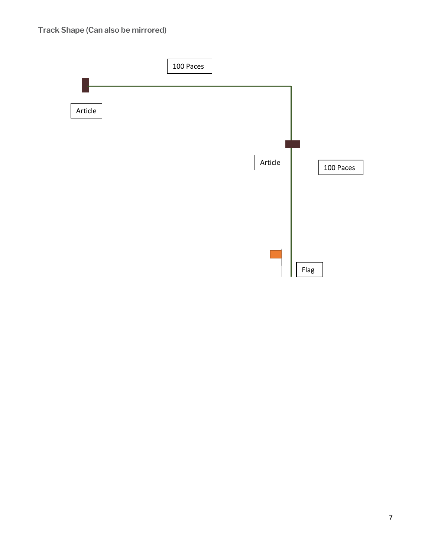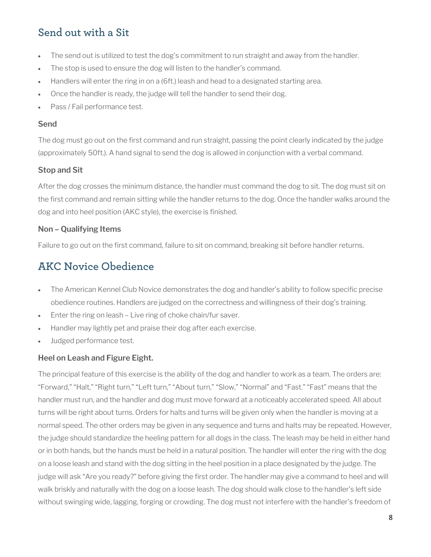# **Send out with a Sit**

- The send out is utilized to test the dog's commitment to run straight and away from the handler.
- The stop is used to ensure the dog will listen to the handler's command.
- Handlers will enter the ring in on a (6ft.) leash and head to a designated starting area.
- Once the handler is ready, the judge will tell the handler to send their dog.
- Pass / Fail performance test.

#### **Send**

The dog must go out on the first command and run straight, passing the point clearly indicated by the judge (approximately 50ft.). A hand signal to send the dog is allowed in conjunction with a verbal command.

#### **Stop and Sit**

After the dog crosses the minimum distance, the handler must command the dog to sit. The dog must sit on the first command and remain sitting while the handler returns to the dog. Once the handler walks around the dog and into heel position (AKC style), the exercise is finished.

#### **Non – Qualifying Items**

Failure to go out on the first command, failure to sit on command, breaking sit before handler returns.

### **AKC Novice Obedience**

- The American Kennel Club Novice demonstrates the dog and handler's ability to follow specific precise obedience routines. Handlers are judged on the correctness and willingness of their dog's training.
- Enter the ring on leash Live ring of choke chain/fur saver.
- Handler may lightly pet and praise their dog after each exercise.
- Judged performance test.

#### **Heel on Leash and Figure Eight.**

The principal feature of this exercise is the ability of the dog and handler to work as a team. The orders are: "Forward," "Halt," "Right turn," "Left turn," "About turn," "Slow," "Normal" and "Fast." "Fast" means that the handler must run, and the handler and dog must move forward at a noticeably accelerated speed. All about turns will be right about turns. Orders for halts and turns will be given only when the handler is moving at a normal speed. The other orders may be given in any sequence and turns and halts may be repeated. However, the judge should standardize the heeling pattern for all dogs in the class. The leash may be held in either hand or in both hands, but the hands must be held in a natural position. The handler will enter the ring with the dog on a loose leash and stand with the dog sitting in the heel position in a place designated by the judge. The judge will ask "Are you ready?" before giving the first order. The handler may give a command to heel and will walk briskly and naturally with the dog on a loose leash. The dog should walk close to the handler's left side without swinging wide, lagging, forging or crowding. The dog must not interfere with the handler's freedom of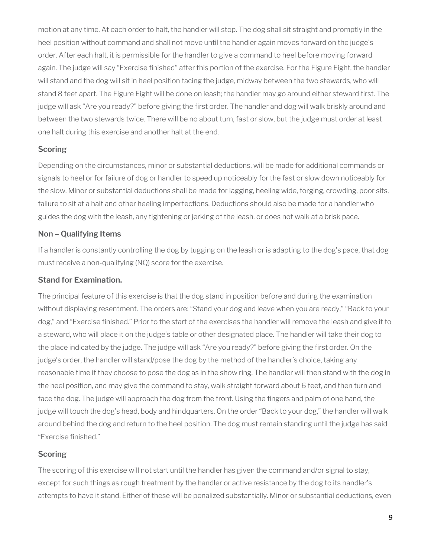motion at any time. At each order to halt, the handler will stop. The dog shall sit straight and promptly in the heel position without command and shall not move until the handler again moves forward on the judge's order. After each halt, it is permissible for the handler to give a command to heel before moving forward again. The judge will say "Exercise finished" after this portion of the exercise. For the Figure Eight, the handler will stand and the dog will sit in heel position facing the judge, midway between the two stewards, who will stand 8 feet apart. The Figure Eight will be done on leash; the handler may go around either steward first. The judge will ask "Are you ready?" before giving the first order. The handler and dog will walk briskly around and between the two stewards twice. There will be no about turn, fast or slow, but the judge must order at least one halt during this exercise and another halt at the end.

#### **Scoring**

Depending on the circumstances, minor or substantial deductions, will be made for additional commands or signals to heel or for failure of dog or handler to speed up noticeably for the fast or slow down noticeably for the slow. Minor or substantial deductions shall be made for lagging, heeling wide, forging, crowding, poor sits, failure to sit at a halt and other heeling imperfections. Deductions should also be made for a handler who guides the dog with the leash, any tightening or jerking of the leash, or does not walk at a brisk pace.

#### **Non – Qualifying Items**

If a handler is constantly controlling the dog by tugging on the leash or is adapting to the dog's pace, that dog must receive a non-qualifying (NQ) score for the exercise.

#### **Stand for Examination.**

The principal feature of this exercise is that the dog stand in position before and during the examination without displaying resentment. The orders are: "Stand your dog and leave when you are ready," "Back to your dog," and "Exercise finished." Prior to the start of the exercises the handler will remove the leash and give it to a steward, who will place it on the judge's table or other designated place. The handler will take their dog to the place indicated by the judge. The judge will ask "Are you ready?" before giving the first order. On the judge's order, the handler will stand/pose the dog by the method of the handler's choice, taking any reasonable time if they choose to pose the dog as in the show ring. The handler will then stand with the dog in the heel position, and may give the command to stay, walk straight forward about 6 feet, and then turn and face the dog. The judge will approach the dog from the front. Using the fingers and palm of one hand, the judge will touch the dog's head, body and hindquarters. On the order "Back to your dog," the handler will walk around behind the dog and return to the heel position. The dog must remain standing until the judge has said "Exercise finished."

#### **Scoring**

The scoring of this exercise will not start until the handler has given the command and/or signal to stay, except for such things as rough treatment by the handler or active resistance by the dog to its handler's attempts to have it stand. Either of these will be penalized substantially. Minor or substantial deductions, even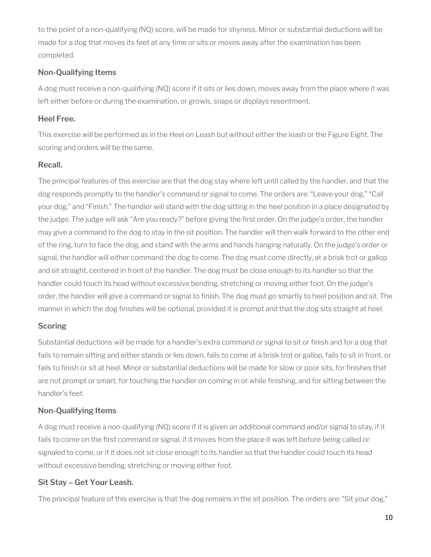to the point of a non-qualifying (NQ) score, will be made for shyness. Minor or substantial deductions will be made for a dog that moves its feet at any time or sits or moves away after the examination has been completed.

#### **Non-Qualifying Items**

A dog must receive a non-qualifying (NQ) score if it sits or lies down, moves away from the place where it was left either before or during the examination, or growls, snaps or displays resentment.

#### **Heel Free.**

This exercise will be performed as in the Heel on Leash but without either the leash or the Figure Eight. The scoring and orders will be the same.

#### **Recall.**

The principal features of this exercise are that the dog stay where left until called by the handler, and that the dog responds promptly to the handler's command or signal to come. The orders are: "Leave your dog," "Call your dog," and "Finish." The handler will stand with the dog sitting in the heel position in a place designated by the judge. The judge will ask "Are you ready?" before giving the first order. On the judge's order, the handler may give a command to the dog to stay in the sit position. The handler will then walk forward to the other end of the ring, turn to face the dog, and stand with the arms and hands hanging naturally. On the judge's order or signal, the handler will either command the dog to come. The dog must come directly, at a brisk trot or gallop and sit straight, centered in front of the handler. The dog must be close enough to its handler so that the handler could touch its head without excessive bending, stretching or moving either foot. On the judge's order, the handler will give a command or signal to finish. The dog must go smartly to heel position and sit. The manner in which the dog finishes will be optional, provided it is prompt and that the dog sits straight at heel.

#### **Scoring**

Substantial deductions will be made for a handler's extra command or signal to sit or finish and for a dog that fails to remain sitting and either stands or lies down, fails to come at a brisk trot or gallop, fails to sit in front, or fails to finish or sit at heel. Minor or substantial deductions will be made for slow or poor sits, for finishes that are not prompt or smart, for touching the handler on coming in or while finishing, and for sitting between the handler's feet.

#### **Non-Qualifying Items**

A dog must receive a non-qualifying (NQ) score if it is given an additional command and/or signal to stay, if it fails to come on the first command or signal, if it moves from the place it was left before being called or signaled to come, or if it does not sit close enough to its handler so that the handler could touch its head without excessive bending, stretching or moving either foot.

#### **Sit Stay – Get Your Leash.**

The principal feature of this exercise is that the dog remains in the sit position. The orders are: "Sit your dog,"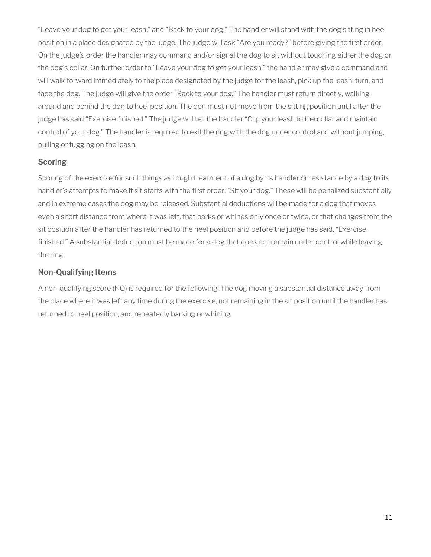"Leave your dog to get your leash," and "Back to your dog." The handler will stand with the dog sitting in heel position in a place designated by the judge. The judge will ask "Are you ready?" before giving the first order. On the judge's order the handler may command and/or signal the dog to sit without touching either the dog or the dog's collar. On further order to "Leave your dog to get your leash," the handler may give a command and will walk forward immediately to the place designated by the judge for the leash, pick up the leash, turn, and face the dog. The judge will give the order "Back to your dog." The handler must return directly, walking around and behind the dog to heel position. The dog must not move from the sitting position until after the judge has said "Exercise finished." The judge will tell the handler "Clip your leash to the collar and maintain control of your dog." The handler is required to exit the ring with the dog under control and without jumping, pulling or tugging on the leash.

#### **Scoring**

Scoring of the exercise for such things as rough treatment of a dog by its handler or resistance by a dog to its handler's attempts to make it sit starts with the first order, "Sit your dog." These will be penalized substantially and in extreme cases the dog may be released. Substantial deductions will be made for a dog that moves even a short distance from where it was left, that barks or whines only once or twice, or that changes from the sit position after the handler has returned to the heel position and before the judge has said, "Exercise finished." A substantial deduction must be made for a dog that does not remain under control while leaving the ring.

#### **Non-Qualifying Items**

A non-qualifying score (NQ) is required for the following: The dog moving a substantial distance away from the place where it was left any time during the exercise, not remaining in the sit position until the handler has returned to heel position, and repeatedly barking or whining.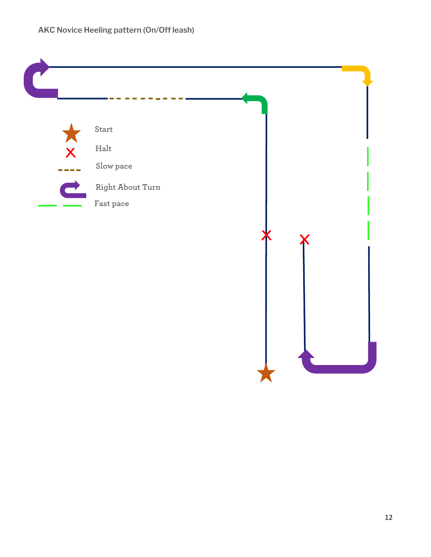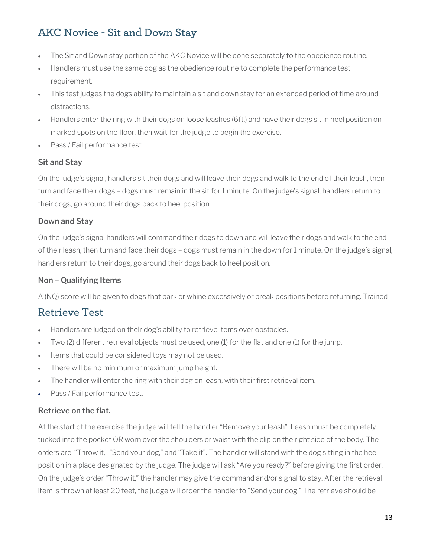# **AKC Novice - Sit and Down Stay**

- The Sit and Down stay portion of the AKC Novice will be done separately to the obedience routine.
- Handlers must use the same dog as the obedience routine to complete the performance test requirement.
- This test judges the dogs ability to maintain a sit and down stay for an extended period of time around distractions.
- Handlers enter the ring with their dogs on loose leashes (6ft.) and have their dogs sit in heel position on marked spots on the floor, then wait for the judge to begin the exercise.
- Pass / Fail performance test.

#### **Sit and Stay**

On the judge's signal, handlers sit their dogs and will leave their dogs and walk to the end of their leash, then turn and face their dogs – dogs must remain in the sit for 1 minute. On the judge's signal, handlers return to their dogs, go around their dogs back to heel position.

#### **Down and Stay**

On the judge's signal handlers will command their dogs to down and will leave their dogs and walk to the end of their leash, then turn and face their dogs – dogs must remain in the down for 1 minute. On the judge's signal, handlers return to their dogs, go around their dogs back to heel position.

#### **Non – Qualifying Items**

A (NQ) score will be given to dogs that bark or whine excessively or break positions before returning. Trained

### **Retrieve Test**

- Handlers are judged on their dog's ability to retrieve items over obstacles.
- Two (2) different retrieval objects must be used, one (1) for the flat and one (1) for the jump.
- Items that could be considered toys may not be used.
- There will be no minimum or maximum jump height.
- The handler will enter the ring with their dog on leash, with their first retrieval item.
- Pass / Fail performance test.

#### **Retrieve on the flat.**

At the start of the exercise the judge will tell the handler "Remove your leash". Leash must be completely tucked into the pocket OR worn over the shoulders or waist with the clip on the right side of the body. The orders are: "Throw it," "Send your dog," and "Take it". The handler will stand with the dog sitting in the heel position in a place designated by the judge. The judge will ask "Are you ready?" before giving the first order. On the judge's order "Throw it," the handler may give the command and/or signal to stay. After the retrieval item is thrown at least 20 feet, the judge will order the handler to "Send your dog." The retrieve should be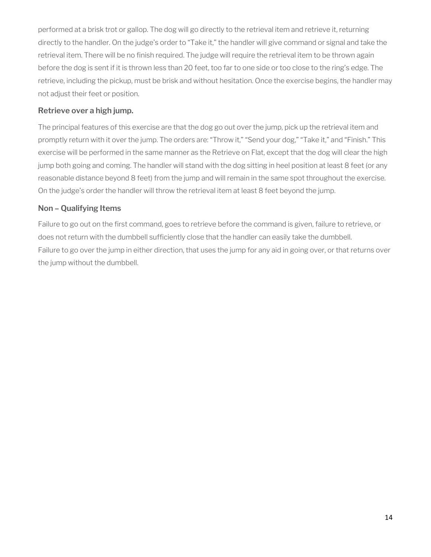performed at a brisk trot or gallop. The dog will go directly to the retrieval item and retrieve it, returning directly to the handler. On the judge's order to "Take it," the handler will give command or signal and take the retrieval item. There will be no finish required. The judge will require the retrieval item to be thrown again before the dog is sent if it is thrown less than 20 feet, too far to one side or too close to the ring's edge. The retrieve, including the pickup, must be brisk and without hesitation. Once the exercise begins, the handler may not adjust their feet or position.

#### **Retrieve over a high jump.**

The principal features of this exercise are that the dog go out over the jump, pick up the retrieval item and promptly return with it over the jump. The orders are: "Throw it," "Send your dog," "Take it," and "Finish." This exercise will be performed in the same manner as the Retrieve on Flat, except that the dog will clear the high jump both going and coming. The handler will stand with the dog sitting in heel position at least 8 feet (or any reasonable distance beyond 8 feet) from the jump and will remain in the same spot throughout the exercise. On the judge's order the handler will throw the retrieval item at least 8 feet beyond the jump.

#### **Non – Qualifying Items**

Failure to go out on the first command, goes to retrieve before the command is given, failure to retrieve, or does not return with the dumbbell sufficiently close that the handler can easily take the dumbbell. Failure to go over the jump in either direction, that uses the jump for any aid in going over, or that returns over the jump without the dumbbell.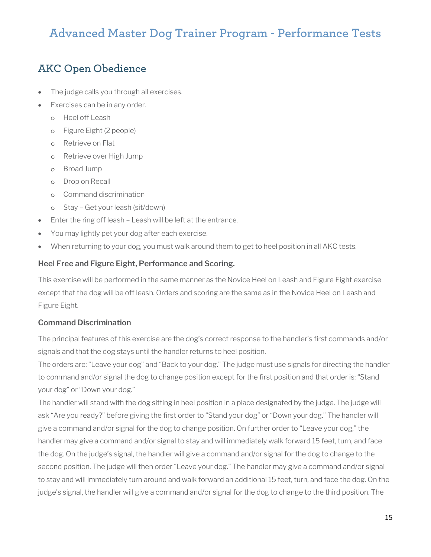# **Advanced Master Dog Trainer Program - Performance Tests**

### **AKC Open Obedience**

- The judge calls you through all exercises.
- Exercises can be in any order.
	- o Heel off Leash
	- o Figure Eight (2 people)
	- o Retrieve on Flat
	- o Retrieve over High Jump
	- o Broad Jump
	- o Drop on Recall
	- o Command discrimination
	- o Stay Get your leash (sit/down)
- Enter the ring off leash Leash will be left at the entrance.
- You may lightly pet your dog after each exercise.
- When returning to your dog, you must walk around them to get to heel position in all AKC tests.

#### **Heel Free and Figure Eight, Performance and Scoring.**

This exercise will be performed in the same manner as the Novice Heel on Leash and Figure Eight exercise except that the dog will be off leash. Orders and scoring are the same as in the Novice Heel on Leash and Figure Eight.

#### **Command Discrimination**

The principal features of this exercise are the dog's correct response to the handler's first commands and/or signals and that the dog stays until the handler returns to heel position.

The orders are: "Leave your dog" and "Back to your dog." The judge must use signals for directing the handler to command and/or signal the dog to change position except for the first position and that order is: "Stand your dog" or "Down your dog."

The handler will stand with the dog sitting in heel position in a place designated by the judge. The judge will ask "Are you ready?" before giving the first order to "Stand your dog" or "Down your dog." The handler will give a command and/or signal for the dog to change position. On further order to "Leave your dog," the handler may give a command and/or signal to stay and will immediately walk forward 15 feet, turn, and face the dog. On the judge's signal, the handler will give a command and/or signal for the dog to change to the second position. The judge will then order "Leave your dog." The handler may give a command and/or signal to stay and will immediately turn around and walk forward an additional 15 feet, turn, and face the dog. On the judge's signal, the handler will give a command and/or signal for the dog to change to the third position. The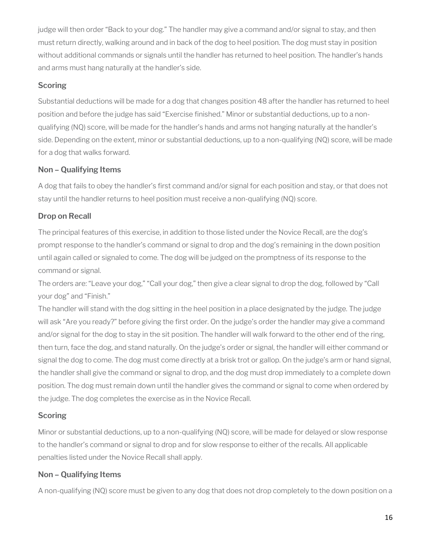judge will then order "Back to your dog." The handler may give a command and/or signal to stay, and then must return directly, walking around and in back of the dog to heel position. The dog must stay in position without additional commands or signals until the handler has returned to heel position. The handler's hands and arms must hang naturally at the handler's side.

#### **Scoring**

Substantial deductions will be made for a dog that changes position 48 after the handler has returned to heel position and before the judge has said "Exercise finished." Minor or substantial deductions, up to a nonqualifying (NQ) score, will be made for the handler's hands and arms not hanging naturally at the handler's side. Depending on the extent, minor or substantial deductions, up to a non-qualifying (NQ) score, will be made for a dog that walks forward.

#### **Non – Qualifying Items**

A dog that fails to obey the handler's first command and/or signal for each position and stay, or that does not stay until the handler returns to heel position must receive a non-qualifying (NQ) score.

#### **Drop on Recall**

The principal features of this exercise, in addition to those listed under the Novice Recall, are the dog's prompt response to the handler's command or signal to drop and the dog's remaining in the down position until again called or signaled to come. The dog will be judged on the promptness of its response to the command or signal.

The orders are: "Leave your dog," "Call your dog," then give a clear signal to drop the dog, followed by "Call your dog" and "Finish."

The handler will stand with the dog sitting in the heel position in a place designated by the judge. The judge will ask "Are you ready?" before giving the first order. On the judge's order the handler may give a command and/or signal for the dog to stay in the sit position. The handler will walk forward to the other end of the ring, then turn, face the dog, and stand naturally. On the judge's order or signal, the handler will either command or signal the dog to come. The dog must come directly at a brisk trot or gallop. On the judge's arm or hand signal, the handler shall give the command or signal to drop, and the dog must drop immediately to a complete down position. The dog must remain down until the handler gives the command or signal to come when ordered by the judge. The dog completes the exercise as in the Novice Recall.

#### **Scoring**

Minor or substantial deductions, up to a non-qualifying (NQ) score, will be made for delayed or slow response to the handler's command or signal to drop and for slow response to either of the recalls. All applicable penalties listed under the Novice Recall shall apply.

#### **Non – Qualifying Items**

A non-qualifying (NQ) score must be given to any dog that does not drop completely to the down position on a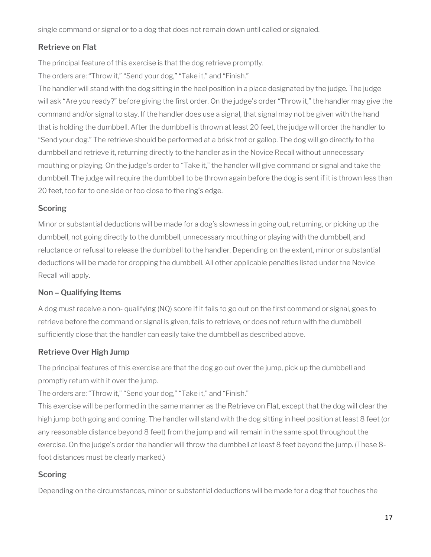single command or signal or to a dog that does not remain down until called or signaled.

#### **Retrieve on Flat**

The principal feature of this exercise is that the dog retrieve promptly.

The orders are: "Throw it," "Send your dog," "Take it," and "Finish."

The handler will stand with the dog sitting in the heel position in a place designated by the judge. The judge will ask "Are you ready?" before giving the first order. On the judge's order "Throw it," the handler may give the command and/or signal to stay. If the handler does use a signal, that signal may not be given with the hand that is holding the dumbbell. After the dumbbell is thrown at least 20 feet, the judge will order the handler to "Send your dog." The retrieve should be performed at a brisk trot or gallop. The dog will go directly to the dumbbell and retrieve it, returning directly to the handler as in the Novice Recall without unnecessary mouthing or playing. On the judge's order to "Take it," the handler will give command or signal and take the dumbbell. The judge will require the dumbbell to be thrown again before the dog is sent if it is thrown less than 20 feet, too far to one side or too close to the ring's edge.

#### **Scoring**

Minor or substantial deductions will be made for a dog's slowness in going out, returning, or picking up the dumbbell, not going directly to the dumbbell, unnecessary mouthing or playing with the dumbbell, and reluctance or refusal to release the dumbbell to the handler. Depending on the extent, minor or substantial deductions will be made for dropping the dumbbell. All other applicable penalties listed under the Novice Recall will apply.

#### **Non – Qualifying Items**

A dog must receive a non- qualifying (NQ) score if it fails to go out on the first command or signal, goes to retrieve before the command or signal is given, fails to retrieve, or does not return with the dumbbell sufficiently close that the handler can easily take the dumbbell as described above.

#### **Retrieve Over High Jump**

The principal features of this exercise are that the dog go out over the jump, pick up the dumbbell and promptly return with it over the jump.

The orders are: "Throw it," "Send your dog," "Take it," and "Finish."

This exercise will be performed in the same manner as the Retrieve on Flat, except that the dog will clear the high jump both going and coming. The handler will stand with the dog sitting in heel position at least 8 feet (or any reasonable distance beyond 8 feet) from the jump and will remain in the same spot throughout the exercise. On the judge's order the handler will throw the dumbbell at least 8 feet beyond the jump. (These 8 foot distances must be clearly marked.)

#### **Scoring**

Depending on the circumstances, minor or substantial deductions will be made for a dog that touches the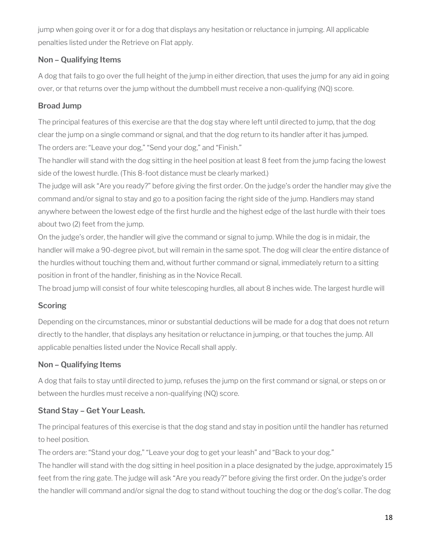jump when going over it or for a dog that displays any hesitation or reluctance in jumping. All applicable penalties listed under the Retrieve on Flat apply.

#### **Non – Qualifying Items**

A dog that fails to go over the full height of the jump in either direction, that uses the jump for any aid in going over, or that returns over the jump without the dumbbell must receive a non-qualifying (NQ) score.

#### **Broad Jump**

The principal features of this exercise are that the dog stay where left until directed to jump, that the dog clear the jump on a single command or signal, and that the dog return to its handler after it has jumped. The orders are: "Leave your dog," "Send your dog," and "Finish."

The handler will stand with the dog sitting in the heel position at least 8 feet from the jump facing the lowest side of the lowest hurdle. (This 8-foot distance must be clearly marked.)

The judge will ask "Are you ready?" before giving the first order. On the judge's order the handler may give the command and/or signal to stay and go to a position facing the right side of the jump. Handlers may stand anywhere between the lowest edge of the first hurdle and the highest edge of the last hurdle with their toes about two (2) feet from the jump.

On the judge's order, the handler will give the command or signal to jump. While the dog is in midair, the handler will make a 90-degree pivot, but will remain in the same spot. The dog will clear the entire distance of the hurdles without touching them and, without further command or signal, immediately return to a sitting position in front of the handler, finishing as in the Novice Recall.

The broad jump will consist of four white telescoping hurdles, all about 8 inches wide. The largest hurdle will

#### **Scoring**

Depending on the circumstances, minor or substantial deductions will be made for a dog that does not return directly to the handler, that displays any hesitation or reluctance in jumping, or that touches the jump. All applicable penalties listed under the Novice Recall shall apply.

#### **Non – Qualifying Items**

A dog that fails to stay until directed to jump, refuses the jump on the first command or signal, or steps on or between the hurdles must receive a non-qualifying (NQ) score.

#### **Stand Stay – Get Your Leash.**

The principal features of this exercise is that the dog stand and stay in position until the handler has returned to heel position.

The orders are: "Stand your dog," "Leave your dog to get your leash" and "Back to your dog." The handler will stand with the dog sitting in heel position in a place designated by the judge, approximately 15 feet from the ring gate. The judge will ask "Are you ready?" before giving the first order. On the judge's order the handler will command and/or signal the dog to stand without touching the dog or the dog's collar. The dog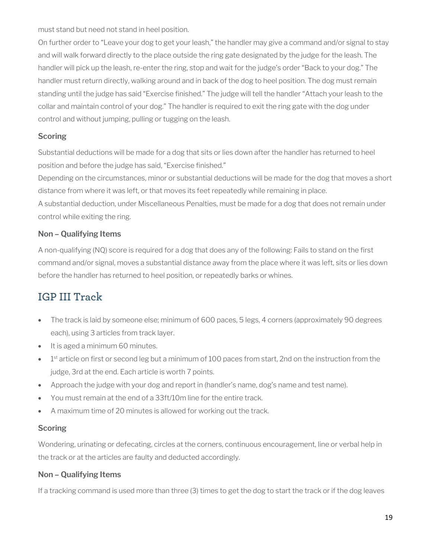must stand but need not stand in heel position.

On further order to "Leave your dog to get your leash," the handler may give a command and/or signal to stay and will walk forward directly to the place outside the ring gate designated by the judge for the leash. The handler will pick up the leash, re-enter the ring, stop and wait for the judge's order "Back to your dog." The handler must return directly, walking around and in back of the dog to heel position. The dog must remain standing until the judge has said "Exercise finished." The judge will tell the handler "Attach your leash to the collar and maintain control of your dog." The handler is required to exit the ring gate with the dog under control and without jumping, pulling or tugging on the leash.

#### **Scoring**

Substantial deductions will be made for a dog that sits or lies down after the handler has returned to heel position and before the judge has said, "Exercise finished."

Depending on the circumstances, minor or substantial deductions will be made for the dog that moves a short distance from where it was left, or that moves its feet repeatedly while remaining in place.

A substantial deduction, under Miscellaneous Penalties, must be made for a dog that does not remain under control while exiting the ring.

#### **Non – Qualifying Items**

A non-qualifying (NQ) score is required for a dog that does any of the following: Fails to stand on the first command and/or signal, moves a substantial distance away from the place where it was left, sits or lies down before the handler has returned to heel position, or repeatedly barks or whines.

# **IGP III Track**

- The track is laid by someone else; minimum of 600 paces, 5 legs, 4 corners (approximately 90 degrees each), using 3 articles from track layer.
- It is aged a minimum 60 minutes.
- 1<sup>st</sup> article on first or second leg but a minimum of 100 paces from start, 2nd on the instruction from the judge, 3rd at the end. Each article is worth 7 points.
- Approach the judge with your dog and report in (handler's name, dog's name and test name).
- You must remain at the end of a 33ft/10m line for the entire track.
- A maximum time of 20 minutes is allowed for working out the track.

#### **Scoring**

Wondering, urinating or defecating, circles at the corners, continuous encouragement, line or verbal help in the track or at the articles are faulty and deducted accordingly.

#### **Non – Qualifying Items**

If a tracking command is used more than three (3) times to get the dog to start the track or if the dog leaves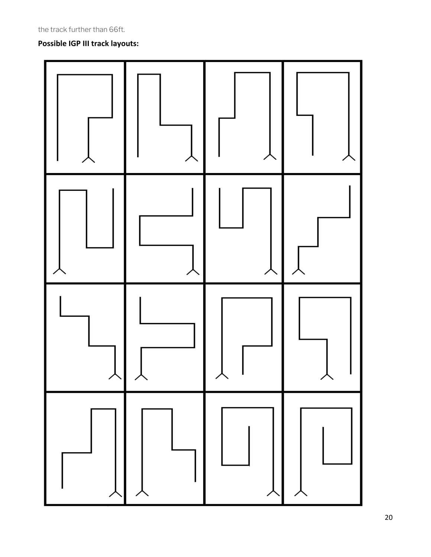#### **Possible IGP III track layouts:**

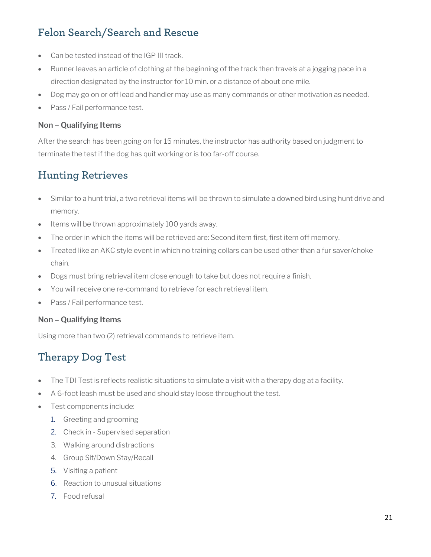# **Felon Search/Search and Rescue**

- Can be tested instead of the IGP III track.
- Runner leaves an article of clothing at the beginning of the track then travels at a jogging pace in a direction designated by the instructor for 10 min. or a distance of about one mile.
- Dog may go on or off lead and handler may use as many commands or other motivation as needed.
- Pass / Fail performance test.

#### **Non – Qualifying Items**

After the search has been going on for 15 minutes, the instructor has authority based on judgment to terminate the test if the dog has quit working or is too far-off course.

### **Hunting Retrieves**

- Similar to a hunt trial, a two retrieval items will be thrown to simulate a downed bird using hunt drive and memory.
- Items will be thrown approximately 100 yards away.
- The order in which the items will be retrieved are: Second item first, first item off memory.
- Treated like an AKC style event in which no training collars can be used other than a fur saver/choke chain.
- Dogs must bring retrieval item close enough to take but does not require a finish.
- You will receive one re-command to retrieve for each retrieval item.
- Pass / Fail performance test.

#### **Non – Qualifying Items**

Using more than two (2) retrieval commands to retrieve item.

### **Therapy Dog Test**

- The TDI Test is reflects realistic situations to simulate a visit with a therapy dog at a facility.
- A 6-foot leash must be used and should stay loose throughout the test.
- Test components include:
	- 1. Greeting and grooming
	- 2. Check in Supervised separation
	- 3. Walking around distractions
	- 4. Group Sit/Down Stay/Recall
	- 5. Visiting a patient
	- 6. Reaction to unusual situations
	- 7. Food refusal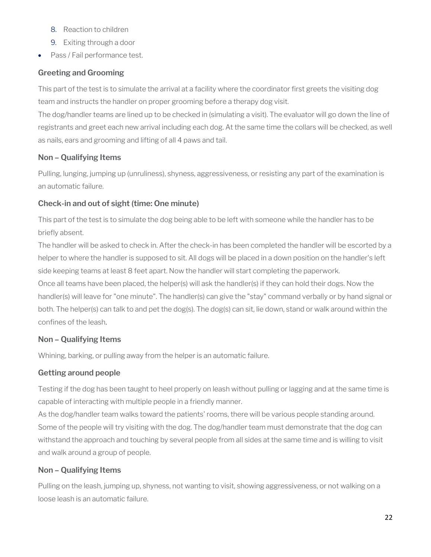- 8. Reaction to children
- 9. Exiting through a door
- Pass / Fail performance test.

#### **Greeting and Grooming**

This part of the test is to simulate the arrival at a facility where the coordinator first greets the visiting dog team and instructs the handler on proper grooming before a therapy dog visit.

The dog/handler teams are lined up to be checked in (simulating a visit). The evaluator will go down the line of registrants and greet each new arrival including each dog. At the same time the collars will be checked, as well as nails, ears and grooming and lifting of all 4 paws and tail.

#### **Non – Qualifying Items**

Pulling, lunging, jumping up (unruliness), shyness, aggressiveness, or resisting any part of the examination is an automatic failure.

#### **Check-in and out of sight (time: One minute)**

This part of the test is to simulate the dog being able to be left with someone while the handler has to be briefly absent.

The handler will be asked to check in. After the check-in has been completed the handler will be escorted by a helper to where the handler is supposed to sit. All dogs will be placed in a down position on the handler's left side keeping teams at least 8 feet apart. Now the handler will start completing the paperwork. Once all teams have been placed, the helper(s) will ask the handler(s) if they can hold their dogs. Now the handler(s) will leave for "one minute". The handler(s) can give the "stay" command verbally or by hand signal or both. The helper(s) can talk to and pet the dog(s). The dog(s) can sit, lie down, stand or walk around within the confines of the leash*.*

#### **Non – Qualifying Items**

Whining, barking, or pulling away from the helper is an automatic failure.

#### **Getting around people**

Testing if the dog has been taught to heel properly on leash without pulling or lagging and at the same time is capable of interacting with multiple people in a friendly manner.

As the dog/handler team walks toward the patients' rooms, there will be various people standing around. Some of the people will try visiting with the dog. The dog/handler team must demonstrate that the dog can withstand the approach and touching by several people from all sides at the same time and is willing to visit and walk around a group of people.

#### **Non – Qualifying Items**

Pulling on the leash, jumping up, shyness, not wanting to visit, showing aggressiveness, or not walking on a loose leash is an automatic failure.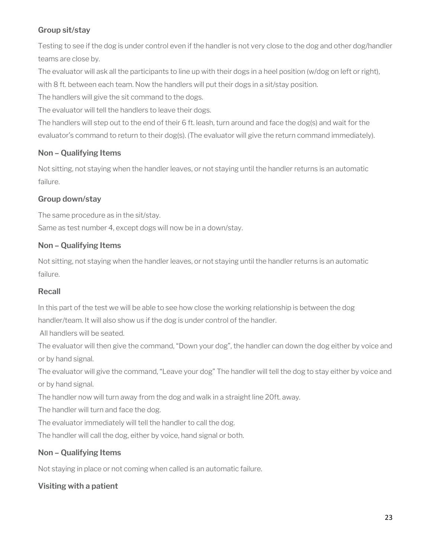#### **Group sit/stay**

Testing to see if the dog is under control even if the handler is not very close to the dog and other dog/handler teams are close by.

The evaluator will ask all the participants to line up with their dogs in a heel position (w/dog on left or right), with 8 ft. between each team. Now the handlers will put their dogs in a sit/stay position.

The handlers will give the sit command to the dogs.

The evaluator will tell the handlers to leave their dogs.

The handlers will step out to the end of their 6 ft. leash, turn around and face the dog(s) and wait for the evaluator's command to return to their dog(s). (The evaluator will give the return command immediately).

#### **Non – Qualifying Items**

Not sitting, not staying when the handler leaves, or not staying until the handler returns is an automatic failure.

#### **Group down/stay**

The same procedure as in the sit/stay. Same as test number 4, except dogs will now be in a down/stay.

#### **Non – Qualifying Items**

Not sitting, not staying when the handler leaves, or not staying until the handler returns is an automatic failure.

#### **Recall**

In this part of the test we will be able to see how close the working relationship is between the dog handler/team. It will also show us if the dog is under control of the handler.

All handlers will be seated.

The evaluator will then give the command, "Down your dog", the handler can down the dog either by voice and or by hand signal.

The evaluator will give the command, "Leave your dog" The handler will tell the dog to stay either by voice and or by hand signal.

The handler now will turn away from the dog and walk in a straight line 20ft. away.

The handler will turn and face the dog.

The evaluator immediately will tell the handler to call the dog.

The handler will call the dog, either by voice, hand signal or both.

#### **Non – Qualifying Items**

Not staying in place or not coming when called is an automatic failure.

**Visiting with a patient**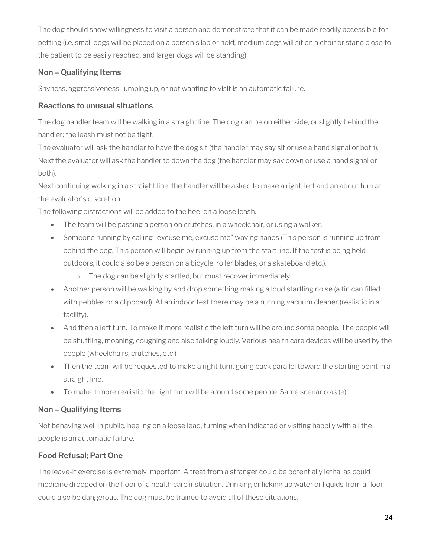The dog should show willingness to visit a person and demonstrate that it can be made readily accessible for petting (i.e. small dogs will be placed on a person's lap or held; medium dogs will sit on a chair or stand close to the patient to be easily reached, and larger dogs will be standing).

#### **Non – Qualifying Items**

Shyness, aggressiveness, jumping up, or not wanting to visit is an automatic failure.

#### **Reactions to unusual situations**

The dog handler team will be walking in a straight line. The dog can be on either side, or slightly behind the handler; the leash must not be tight.

The evaluator will ask the handler to have the dog sit (the handler may say sit or use a hand signal or both). Next the evaluator will ask the handler to down the dog (the handler may say down or use a hand signal or both).

Next continuing walking in a straight line, the handler will be asked to make a right, left and an about turn at the evaluator's discretion.

The following distractions will be added to the heel on a loose leash.

- The team will be passing a person on crutches, in a wheelchair, or using a walker.
- Someone running by calling "excuse me, excuse me" waving hands (This person is running up from behind the dog. This person will begin by running up from the start line. If the test is being held outdoors, it could also be a person on a bicycle, roller blades, or a skateboard etc.).
	- o The dog can be slightly startled, but must recover immediately.
- Another person will be walking by and drop something making a loud startling noise (a tin can filled with pebbles or a clipboard). At an indoor test there may be a running vacuum cleaner (realistic in a facility).
- And then a left turn. To make it more realistic the left turn will be around some people. The people will be shuffling, moaning, coughing and also talking loudly. Various health care devices will be used by the people (wheelchairs, crutches, etc.)
- Then the team will be requested to make a right turn, going back parallel toward the starting point in a straight line.
- To make it more realistic the right turn will be around some people. Same scenario as (e)

#### **Non – Qualifying Items**

Not behaving well in public, heeling on a loose lead, turning when indicated or visiting happily with all the people is an automatic failure.

#### **Food Refusal; Part One**

The leave-it exercise is extremely important. A treat from a stranger could be potentially lethal as could medicine dropped on the floor of a health care institution. Drinking or licking up water or liquids from a floor could also be dangerous. The dog must be trained to avoid all of these situations.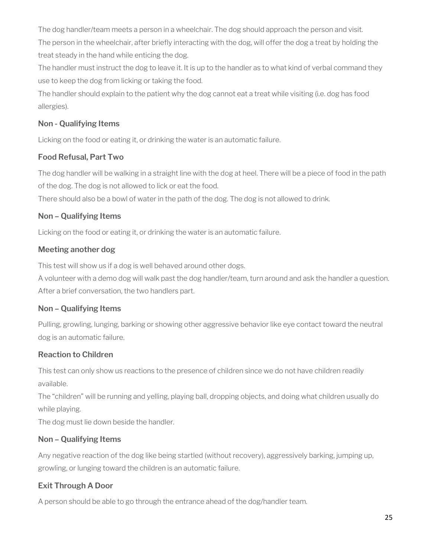The dog handler/team meets a person in a wheelchair. The dog should approach the person and visit. The person in the wheelchair, after briefly interacting with the dog, will offer the dog a treat by holding the treat steady in the hand while enticing the dog.

The handler must instruct the dog to leave it. It is up to the handler as to what kind of verbal command they use to keep the dog from licking or taking the food.

The handler should explain to the patient why the dog cannot eat a treat while visiting (i.e. dog has food allergies).

#### **Non - Qualifying Items**

Licking on the food or eating it, or drinking the water is an automatic failure.

#### **Food Refusal, Part Two**

The dog handler will be walking in a straight line with the dog at heel. There will be a piece of food in the path of the dog. The dog is not allowed to lick or eat the food.

There should also be a bowl of water in the path of the dog. The dog is not allowed to drink.

#### **Non – Qualifying Items**

Licking on the food or eating it, or drinking the water is an automatic failure.

#### **Meeting another dog**

This test will show us if a dog is well behaved around other dogs.

A volunteer with a demo dog will walk past the dog handler/team, turn around and ask the handler a question. After a brief conversation, the two handlers part.

#### **Non – Qualifying Items**

Pulling, growling, lunging, barking or showing other aggressive behavior like eye contact toward the neutral dog is an automatic failure.

#### **Reaction to Children**

This test can only show us reactions to the presence of children since we do not have children readily available.

The "children" will be running and yelling, playing ball, dropping objects, and doing what children usually do while playing.

The dog must lie down beside the handler.

#### **Non – Qualifying Items**

Any negative reaction of the dog like being startled (without recovery), aggressively barking, jumping up, growling, or lunging toward the children is an automatic failure.

#### **Exit Through A Door**

A person should be able to go through the entrance ahead of the dog/handler team.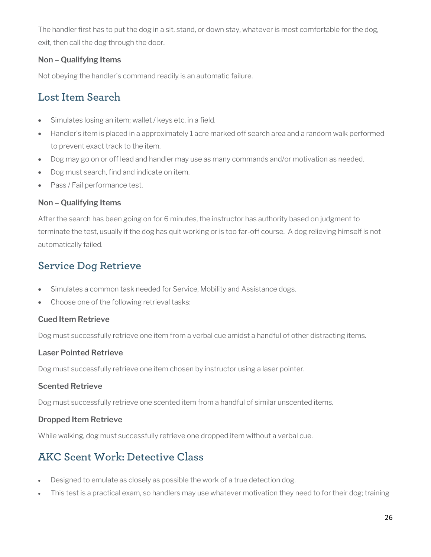The handler first has to put the dog in a sit, stand, or down stay, whatever is most comfortable for the dog, exit, then call the dog through the door.

#### **Non – Qualifying Items**

Not obeying the handler's command readily is an automatic failure.

### **Lost Item Search**

- Simulates losing an item; wallet / keys etc. in a field.
- Handler's item is placed in a approximately 1 acre marked off search area and a random walk performed to prevent exact track to the item.
- Dog may go on or off lead and handler may use as many commands and/or motivation as needed.
- Dog must search, find and indicate on item.
- Pass / Fail performance test.

#### **Non – Qualifying Items**

After the search has been going on for 6 minutes, the instructor has authority based on judgment to terminate the test, usually if the dog has quit working or is too far-off course. A dog relieving himself is not automatically failed.

### **Service Dog Retrieve**

- Simulates a common task needed for Service, Mobility and Assistance dogs.
- Choose one of the following retrieval tasks:

#### **Cued Item Retrieve**

Dog must successfully retrieve one item from a verbal cue amidst a handful of other distracting items.

#### **Laser Pointed Retrieve**

Dog must successfully retrieve one item chosen by instructor using a laser pointer.

#### **Scented Retrieve**

Dog must successfully retrieve one scented item from a handful of similar unscented items.

#### **Dropped Item Retrieve**

While walking, dog must successfully retrieve one dropped item without a verbal cue.

### **AKC Scent Work: Detective Class**

- Designed to emulate as closely as possible the work of a true detection dog.
- This test is a practical exam, so handlers may use whatever motivation they need to for their dog; training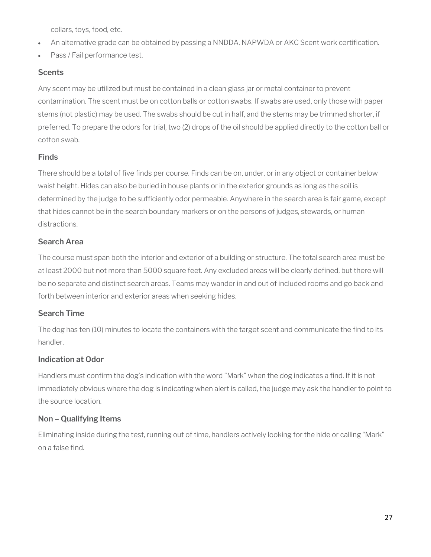collars, toys, food, etc.

- An alternative grade can be obtained by passing a NNDDA, NAPWDA or AKC Scent work certification.
- Pass / Fail performance test.

#### **Scents**

Any scent may be utilized but must be contained in a clean glass jar or metal container to prevent contamination. The scent must be on cotton balls or cotton swabs. If swabs are used, only those with paper stems (not plastic) may be used. The swabs should be cut in half, and the stems may be trimmed shorter, if preferred. To prepare the odors for trial, two (2) drops of the oil should be applied directly to the cotton ball or cotton swab.

#### **Finds**

There should be a total of five finds per course. Finds can be on, under, or in any object or container below waist height. Hides can also be buried in house plants or in the exterior grounds as long as the soil is determined by the judge to be sufficiently odor permeable. Anywhere in the search area is fair game, except that hides cannot be in the search boundary markers or on the persons of judges, stewards, or human distractions.

#### **Search Area**

The course must span both the interior and exterior of a building or structure. The total search area must be at least 2000 but not more than 5000 square feet. Any excluded areas will be clearly defined, but there will be no separate and distinct search areas. Teams may wander in and out of included rooms and go back and forth between interior and exterior areas when seeking hides.

#### **Search Time**

The dog has ten (10) minutes to locate the containers with the target scent and communicate the find to its handler.

#### **Indication at Odor**

Handlers must confirm the dog's indication with the word "Mark" when the dog indicates a find. If it is not immediately obvious where the dog is indicating when alert is called, the judge may ask the handler to point to the source location.

#### **Non – Qualifying Items**

Eliminating inside during the test, running out of time, handlers actively looking for the hide or calling "Mark" on a false find.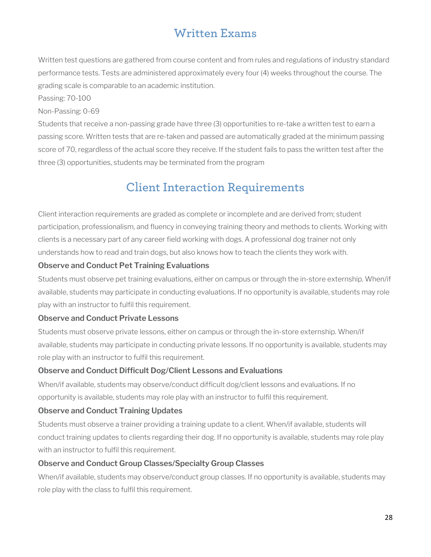# **Written Exams**

Written test questions are gathered from course content and from rules and regulations of industry standard performance tests. Tests are administered approximately every four (4) weeks throughout the course. The grading scale is comparable to an academic institution.

Passing: 70-100

#### Non-Passing: 0-69

Students that receive a non-passing grade have three (3) opportunities to re-take a written test to earn a passing score. Written tests that are re-taken and passed are automatically graded at the minimum passing score of 70, regardless of the actual score they receive. If the student fails to pass the written test after the three (3) opportunities, students may be terminated from the program

# **Client Interaction Requirements**

Client interaction requirements are graded as complete or incomplete and are derived from; student participation, professionalism, and fluency in conveying training theory and methods to clients. Working with clients is a necessary part of any career field working with dogs. A professional dog trainer not only understands how to read and train dogs, but also knows how to teach the clients they work with.

#### **Observe and Conduct Pet Training Evaluations**

Students must observe pet training evaluations, either on campus or through the in-store externship. When/if available, students may participate in conducting evaluations. If no opportunity is available, students may role play with an instructor to fulfil this requirement.

#### **Observe and Conduct Private Lessons**

Students must observe private lessons, either on campus or through the in-store externship. When/if available, students may participate in conducting private lessons. If no opportunity is available, students may role play with an instructor to fulfil this requirement.

#### **Observe and Conduct Difficult Dog/Client Lessons and Evaluations**

When/if available, students may observe/conduct difficult dog/client lessons and evaluations. If no opportunity is available, students may role play with an instructor to fulfil this requirement.

#### **Observe and Conduct Training Updates**

Students must observe a trainer providing a training update to a client. When/if available, students will conduct training updates to clients regarding their dog. If no opportunity is available, students may role play with an instructor to fulfil this requirement.

#### **Observe and Conduct Group Classes/Specialty Group Classes**

When/if available, students may observe/conduct group classes. If no opportunity is available, students may role play with the class to fulfil this requirement.